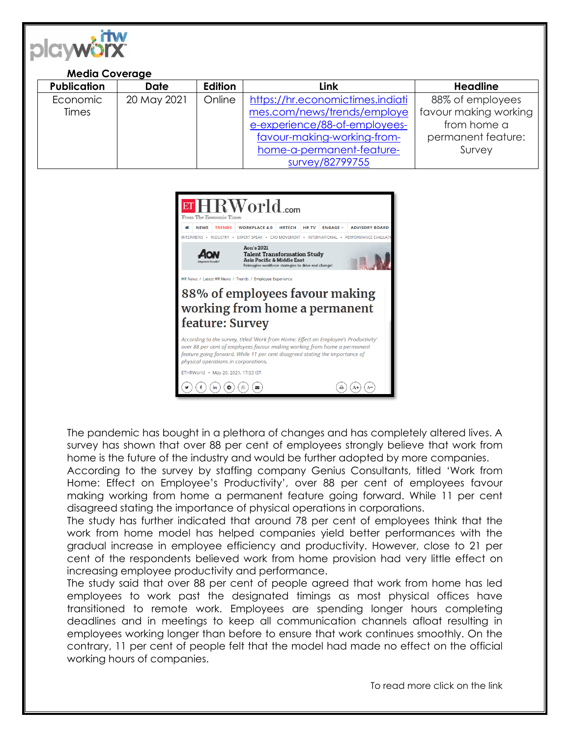

## **Media Coverage**

| <b>Publication</b> | <b>Date</b> | <b>Edition</b> | <b>Link</b>                      | <b>Headline</b>       |
|--------------------|-------------|----------------|----------------------------------|-----------------------|
| Economic           | 20 May 2021 | Online         | https://hr.economictimes.indiati | 88% of employees      |
| <b>Times</b>       |             |                | mes.com/news/trends/employe      | favour making working |
|                    |             |                | e-experience/88-of-employees-    | from home a           |
|                    |             |                | favour-making-working-from-      | permanent feature:    |
|                    |             |                | home-a-permanent-feature-        | Survey                |
|                    |             |                | survey/82799755                  |                       |



The pandemic has bought in a plethora of changes and has completely altered lives. A survey has shown that over 88 per cent of employees strongly believe that work from home is the future of the industry and would be further adopted by more companies.

According to the survey by staffing company Genius Consultants, titled 'Work from Home: Effect on Employee's Productivity', over 88 per cent of employees favour making working from home a permanent feature going forward. While 11 per cent disagreed stating the importance of physical operations in corporations.

The study has further indicated that around 78 per cent of employees think that the work from home model has helped companies yield better performances with the gradual increase in employee efficiency and productivity. However, close to 21 per cent of the respondents believed work from home provision had very little effect on increasing employee productivity and performance.

The study said that over 88 per cent of people agreed that work from home has led employees to work past the designated timings as most physical offices have transitioned to remote work. Employees are spending longer hours completing deadlines and in meetings to keep all communication channels afloat resulting in employees working longer than before to ensure that work continues smoothly. On the contrary, 11 per cent of people felt that the model had made no effect on the official working hours of companies.

To read more click on the link